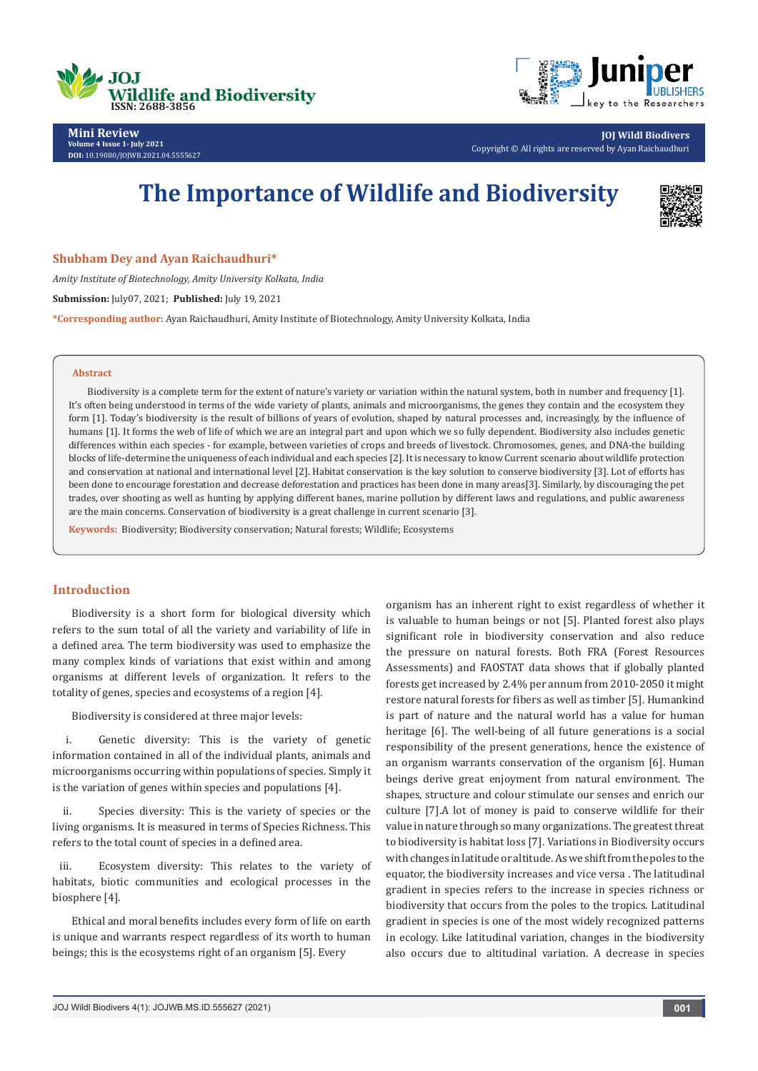



**Mini Review Volume 4 Issue 1- July 2021 DOI:** [10.19080/JOJWB.2021.04.55556](http://dx.doi.org/10.19080/jojwb.2021.04.555627)27

**JOJ Wildl Biodivers** Copyright © All rights are reserved by Ayan Raichaudhuri

# **The Importance of Wildlife and Biodiversity**



**Shubham Dey and Ayan Raichaudhuri\***

*Amity Institute of Biotechnology, Amity University Kolkata, India*

**Submission:** July07, 2021; **Published:** July 19, 2021

**\*Corresponding author:** Ayan Raichaudhuri, Amity Institute of Biotechnology, Amity University Kolkata, India

#### **Abstract**

Biodiversity is a complete term for the extent of nature's variety or variation within the natural system, both in number and frequency [1]. It's often being understood in terms of the wide variety of plants, animals and microorganisms, the genes they contain and the ecosystem they form [1]. Today's biodiversity is the result of billions of years of evolution, shaped by natural processes and, increasingly, by the influence of humans [1]. It forms the web of life of which we are an integral part and upon which we so fully dependent. Biodiversity also includes genetic differences within each species - for example, between varieties of crops and breeds of livestock. Chromosomes, genes, and DNA-the building blocks of life-determine the uniqueness of each individual and each species [2]. It is necessary to know Current scenario about wildlife protection and conservation at national and international level [2]. Habitat conservation is the key solution to conserve biodiversity [3]. Lot of efforts has been done to encourage forestation and decrease deforestation and practices has been done in many areas[3]. Similarly, by discouraging the pet trades, over shooting as well as hunting by applying different banes, marine pollution by different laws and regulations, and public awareness are the main concerns. Conservation of biodiversity is a great challenge in current scenario [3].

**Keywords:** Biodiversity; Biodiversity conservation; Natural forests; Wildlife; Ecosystems

## **Introduction**

Biodiversity is a short form for biological diversity which refers to the sum total of all the variety and variability of life in a defined area. The term biodiversity was used to emphasize the many complex kinds of variations that exist within and among organisms at different levels of organization. It refers to the totality of genes, species and ecosystems of a region [4].

Biodiversity is considered at three major levels:

i. Genetic diversity: This is the variety of genetic information contained in all of the individual plants, animals and microorganisms occurring within populations of species. Simply it is the variation of genes within species and populations [4].

ii. Species diversity: This is the variety of species or the living organisms. It is measured in terms of Species Richness. This refers to the total count of species in a defined area.

iii. Ecosystem diversity: This relates to the variety of habitats, biotic communities and ecological processes in the biosphere [4].

Ethical and moral benefits includes every form of life on earth is unique and warrants respect regardless of its worth to human beings; this is the ecosystems right of an organism [5]. Every

organism has an inherent right to exist regardless of whether it is valuable to human beings or not [5]. Planted forest also plays significant role in biodiversity conservation and also reduce the pressure on natural forests. Both FRA (Forest Resources Assessments) and FAOSTAT data shows that if globally planted forests get increased by 2.4% per annum from 2010-2050 it might restore natural forests for fibers as well as timber [5]. Humankind is part of nature and the natural world has a value for human heritage [6]. The well-being of all future generations is a social responsibility of the present generations, hence the existence of an organism warrants conservation of the organism [6]. Human beings derive great enjoyment from natural environment. The shapes, structure and colour stimulate our senses and enrich our culture [7].A lot of money is paid to conserve wildlife for their value in nature through so many organizations. The greatest threat to biodiversity is habitat loss [7]. Variations in Biodiversity occurs with changes in latitude or altitude. As we shift from the poles to the equator, the biodiversity increases and vice versa . The latitudinal gradient in species refers to the increase in species richness or biodiversity that occurs from the poles to the tropics. Latitudinal gradient in species is one of the most widely recognized patterns in ecology. Like latitudinal variation, changes in the biodiversity also occurs due to altitudinal variation. A decrease in species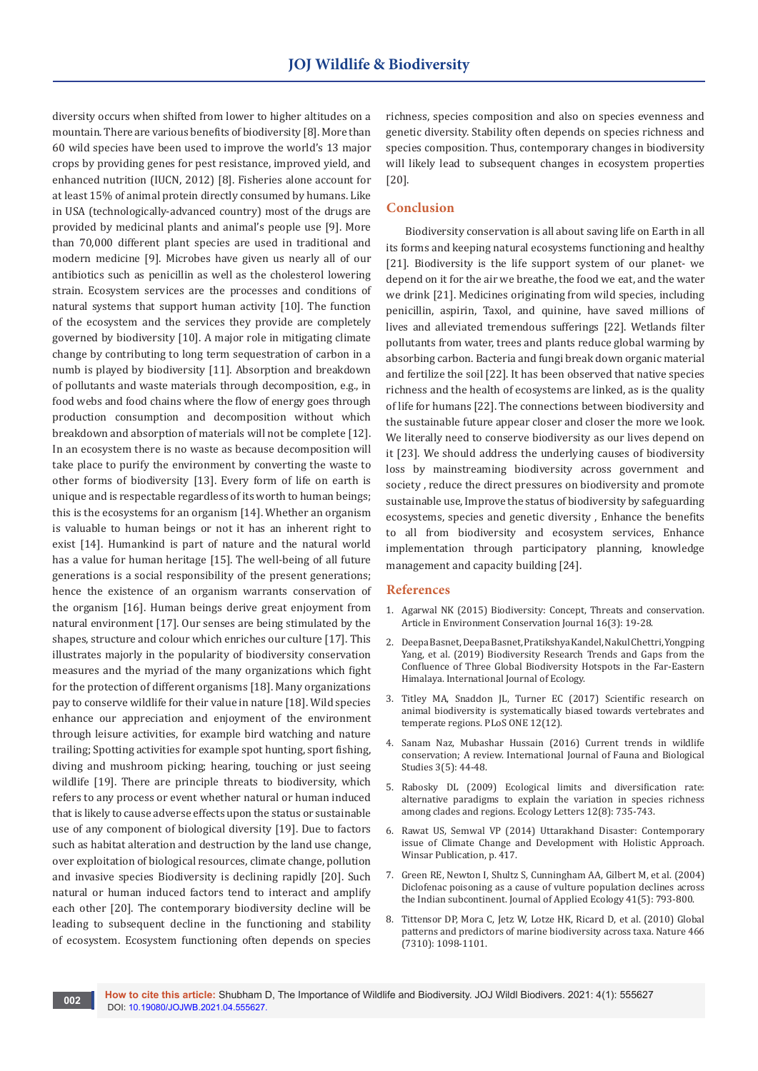diversity occurs when shifted from lower to higher altitudes on a mountain. There are various benefits of biodiversity [8]. More than 60 wild species have been used to improve the world's 13 major crops by providing genes for pest resistance, improved yield, and enhanced nutrition (IUCN, 2012) [8]. Fisheries alone account for at least 15% of animal protein directly consumed by humans. Like in USA (technologically-advanced country) most of the drugs are provided by medicinal plants and animal's people use [9]. More than 70,000 different plant species are used in traditional and modern medicine [9]. Microbes have given us nearly all of our antibiotics such as penicillin as well as the cholesterol lowering strain. Ecosystem services are the processes and conditions of natural systems that support human activity [10]. The function of the ecosystem and the services they provide are completely governed by biodiversity [10]. A major role in mitigating climate change by contributing to long term sequestration of carbon in a numb is played by biodiversity [11]. Absorption and breakdown of pollutants and waste materials through decomposition, e.g., in food webs and food chains where the flow of energy goes through production consumption and decomposition without which breakdown and absorption of materials will not be complete [12]. In an ecosystem there is no waste as because decomposition will take place to purify the environment by converting the waste to other forms of biodiversity [13]. Every form of life on earth is unique and is respectable regardless of its worth to human beings; this is the ecosystems for an organism [14]. Whether an organism is valuable to human beings or not it has an inherent right to exist [14]. Humankind is part of nature and the natural world has a value for human heritage [15]. The well-being of all future generations is a social responsibility of the present generations; hence the existence of an organism warrants conservation of the organism [16]. Human beings derive great enjoyment from natural environment [17]. Our senses are being stimulated by the shapes, structure and colour which enriches our culture [17]. This illustrates majorly in the popularity of biodiversity conservation measures and the myriad of the many organizations which fight for the protection of different organisms [18]. Many organizations pay to conserve wildlife for their value in nature [18]. Wild species enhance our appreciation and enjoyment of the environment through leisure activities, for example bird watching and nature trailing; Spotting activities for example spot hunting, sport fishing, diving and mushroom picking; hearing, touching or just seeing wildlife [19]. There are principle threats to biodiversity, which refers to any process or event whether natural or human induced that is likely to cause adverse effects upon the status or sustainable use of any component of biological diversity [19]. Due to factors such as habitat alteration and destruction by the land use change, over exploitation of biological resources, climate change, pollution and invasive species Biodiversity is declining rapidly [20]. Such natural or human induced factors tend to interact and amplify each other [20]. The contemporary biodiversity decline will be leading to subsequent decline in the functioning and stability of ecosystem. Ecosystem functioning often depends on species

richness, species composition and also on species evenness and genetic diversity. Stability often depends on species richness and species composition. Thus, contemporary changes in biodiversity will likely lead to subsequent changes in ecosystem properties [20].

## **Conclusion**

Biodiversity conservation is all about saving life on Earth in all its forms and keeping natural ecosystems functioning and healthy [21]. Biodiversity is the life support system of our planet- we depend on it for the air we breathe, the food we eat, and the water we drink [21]. Medicines originating from wild species, including penicillin, aspirin, Taxol, and quinine, have saved millions of lives and alleviated tremendous sufferings [22]. Wetlands filter pollutants from water, trees and plants reduce global warming by absorbing carbon. Bacteria and fungi break down organic material and fertilize the soil [22]. It has been observed that native species richness and the health of ecosystems are linked, as is the quality of life for humans [22]. The connections between biodiversity and the sustainable future appear closer and closer the more we look. We literally need to conserve biodiversity as our lives depend on it [23]. We should address the underlying causes of biodiversity loss by mainstreaming biodiversity across government and society , reduce the direct pressures on biodiversity and promote sustainable use, Improve the status of biodiversity by safeguarding ecosystems, species and genetic diversity , Enhance the benefits to all from biodiversity and ecosystem services, Enhance implementation through participatory planning, knowledge management and capacity building [24].

#### **References**

- 1. [Agarwal NK \(2015\) Biodiversity: Concept, Threats and conservation.](https://journal.environcj.in/index.php/ecj/article/view/418)  Article in [Environment Conservation Journal 16\(3\): 19-28.](https://journal.environcj.in/index.php/ecj/article/view/418)
- 2. Deepa Basnet, Deepa Basnet, Pratikshya Kandel, Nakul Chettri, Yongping Yang, [et al. \(2019\) Biodiversity Research Trends and Gaps from the](https://www.hindawi.com/journals/ijecol/2019/1323419/)  [Confluence of Three Global Biodiversity Hotspots in the Far-Eastern](https://www.hindawi.com/journals/ijecol/2019/1323419/)  [Himalaya. International Journal of Ecology.](https://www.hindawi.com/journals/ijecol/2019/1323419/)
- 3. [Titley MA, Snaddon JL, Turner EC \(2017\) Scientific research on](https://journals.plos.org/plosone/article?id=10.1371/journal.pone.0189577)  [animal biodiversity is systematically biased towards vertebrates and](https://journals.plos.org/plosone/article?id=10.1371/journal.pone.0189577)  [temperate regions. PLoS ONE 12\(12\).](https://journals.plos.org/plosone/article?id=10.1371/journal.pone.0189577)
- 4. [Sanam Naz, Mubashar Hussain \(2016\) Current trends in wildlife](https://www.faunajournal.com/archives/2016/vol3issue5/PartA/3-5-13-987.pdf)  [conservation; A review. International Journal of Fauna and Biological](https://www.faunajournal.com/archives/2016/vol3issue5/PartA/3-5-13-987.pdf)  [Studies 3\(5\): 44-48](https://www.faunajournal.com/archives/2016/vol3issue5/PartA/3-5-13-987.pdf).
- 5. [Rabosky DL \(2009\) Ecological limits and diversification rate:](https://onlinelibrary.wiley.com/doi/10.1111/j.1461-0248.2009.01333.x)  [alternative paradigms to explain the variation in species richness](https://onlinelibrary.wiley.com/doi/10.1111/j.1461-0248.2009.01333.x)  [among clades and regions. Ecology Letters 12\(8\): 735-743.](https://onlinelibrary.wiley.com/doi/10.1111/j.1461-0248.2009.01333.x)
- 6. Rawat US, Semwal VP (2014) Uttarakhand Disaster: Contemporary issue of Climate Change and Development with Holistic Approach. Winsar Publication, p. 417.
- 7. [Green RE, Newton I, Shultz S, Cunningham AA, Gilbert M, et al. \(2004\)](https://besjournals.onlinelibrary.wiley.com/doi/10.1111/j.0021-8901.2004.00954.x)  [Diclofenac poisoning as a cause of vulture population declines across](https://besjournals.onlinelibrary.wiley.com/doi/10.1111/j.0021-8901.2004.00954.x)  [the Indian subcontinent. Journal of Applied Ecology 41\(5\): 793-800.](https://besjournals.onlinelibrary.wiley.com/doi/10.1111/j.0021-8901.2004.00954.x)
- 8. [Tittensor DP, Mora C, Jetz W, Lotze HK, Ricard D, et al. \(2010\) Global](https://pubmed.ncbi.nlm.nih.gov/20668450/)  [patterns and predictors of marine biodiversity across taxa. Nature 466](https://pubmed.ncbi.nlm.nih.gov/20668450/)  [\(7310\): 1098-1101.](https://pubmed.ncbi.nlm.nih.gov/20668450/)